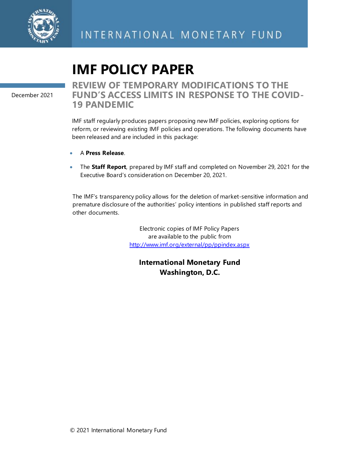

# **IMF POLICY PAPER**

December 2021

### **REVIEW OF TEMPORARY MODIFICATIONS TO THE FUND'S ACCESS LIMITS IN RESPONSE TO THE COVID-19 PANDEMIC**

IMF staff regularly produces papers proposing new IMF policies, exploring options for reform, or reviewing existing IMF policies and operations. The following documents have been released and are included in this package:

- A **Press Release**.
- The **Staff Report**, prepared by IMF staff and completed on November 29, 2021 for the Executive Board's consideration on December 20, 2021.

The IMF's transparency policy allows for the deletion of market-sensitive information and premature disclosure of the authorities' policy intentions in published staff reports and other documents.

> Electronic copies of IMF Policy Papers are available to the public from <http://www.imf.org/external/pp/ppindex.aspx>

**International Monetary Fund Washington, D.C.**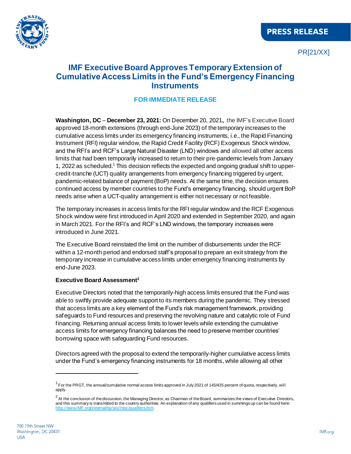

PR[21/XX]

### **IMF Executive Board Approves Temporary Extension of Cumulative Access Limits in the Fund's Emergency Financing Instruments**

#### **FOR IMMEDIATE RELEASE**

**Washington, DC** – **December 23, 2021:** On December 20, 2021**,** the IMF's Executive Board approved 18-month extensions (through end-June 2023) of the temporary increases to the cumulative access limits under its emergency financing instruments, i.e., the Rapid Financing Instrument (RFI) regular window, the Rapid Credit Facility (RCF) Exogenous Shock window, and the RFI's and RCF's Large Natural Disaster (LND) windows and allowed all other access limits that had been temporarily increased to return to their pre-pandemic levels from January 1, 2022 as scheduled.<sup>1</sup> This decision reflects the expected and ongoing gradual shift to uppercredit-tranche (UCT) quality arrangements from emergency financing triggered by urgent, pandemic-related balance of payment (BoP) needs. At the same time, the decision ensures continued access by member countries to the Fund's emergency financing, should urgent BoP needs arise when a UCT-quality arrangement is either not necessary or not feasible.

The temporary increases in access limits for the RFI regular window and the RCF Exogenous Shock window were first introduced in April 2020 and extended in September 2020, and again in March 2021. For the RFI's and RCF's LND windows, the temporary increases were introduced in June 2021.

The Executive Board reinstated the limit on the number of disbursements under the RCF within a 12-month period and endorsed staff's proposal to prepare an exit strategy from the temporary increase in cumulative access limits under emergency financing instruments by end-June 2023.

#### **Executive Board Assessment<sup>2</sup>**

Executive Directors noted that the temporarily-high access limits ensured that the Fund was able to swiftly provide adequate support to its members during the pandemic. They stressed that access limits are a key element of the Fund's risk management framework, providing safeguards to Fund resources and preserving the revolving nature and catalytic role of Fund financing. Returning annual access limits to lower levels while extending the cumulative access limits for emergency financing balances the need to preserve member countries' borrowing space with safeguarding Fund resources.

Directors agreed with the proposal to extend the temporarily-higher cumulative access limits under the Fund's emergency financing instruments for 18 months, while allowing all other

<sup>&</sup>lt;sup>1</sup> For the PRGT, the annual/cumulative normal access limits approved in July 2021 of 145/435 percent of quota, respectively, will apply.

 $^2$  At the conclusion of the discussion, the Managing Director, as Chairman of the Board, summarizes the views of Executive Directors, and this summary is transmitted to the country authorities. An explanation of any qualifiers used in summings up can be found here: http://www.IMF.org/external/np/s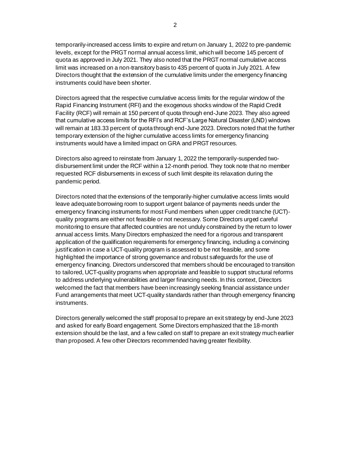temporarily-increased access limits to expire and return on January 1, 2022 to pre-pandemic levels, except for the PRGT normal annual access limit, which will become 145 percent of quota as approved in July 2021. They also noted that the PRGT normal cumulative access limit was increased on a non-transitory basis to 435 percent of quota in July 2021. A few Directors thought that the extension of the cumulative limits under the emergency financing instruments could have been shorter.

Directors agreed that the respective cumulative access limits for the regular window of the Rapid Financing Instrument (RFI) and the exogenous shocks window of the Rapid Credit Facility (RCF) will remain at 150 percent of quota through end-June 2023. They also agreed that cumulative access limits for the RFI's and RCF's Large Natural Disaster (LND) windows will remain at 183.33 percent of quota through end-June 2023. Directors noted that the further temporary extension of the higher cumulative access limits for emergency financing instruments would have a limited impact on GRA and PRGT resources.

Directors also agreed to reinstate from January 1, 2022 the temporarily-suspended twodisbursement limit under the RCF within a 12-month period. They took note that no member requested RCF disbursements in excess of such limit despite its relaxation during the pandemic period.

Directors noted that the extensions of the temporarily-higher cumulative access limits would leave adequate borrowing room to support urgent balance of payments needs under the emergency financing instruments for most Fund members when upper credit tranche (UCT) quality programs are either not feasible or not necessary. Some Directors urged careful monitoring to ensure that affected countries are not unduly constrained by the return to lower annual access limits. Many Directors emphasized the need for a rigorous and transparent application of the qualification requirements for emergency financing, including a convincing justification in case a UCT-quality program is assessed to be not feasible, and some highlighted the importance of strong governance and robust safeguards for the use of emergency financing. Directors underscored that members should be encouraged to transition to tailored, UCT-quality programs when appropriate and feasible to support structural reforms to address underlying vulnerabilities and larger financing needs. In this context, Directors welcomed the fact that members have been increasingly seeking financial assistance under Fund arrangements that meet UCT-quality standards rather than through emergency financing instruments.

Directors generally welcomed the staff proposal to prepare an exit strategy by end-June 2023 and asked for early Board engagement. Some Directors emphasized that the 18-month extension should be the last, and a few called on staff to prepare an exit strategy much earlier than proposed. A few other Directors recommended having greater flexibility.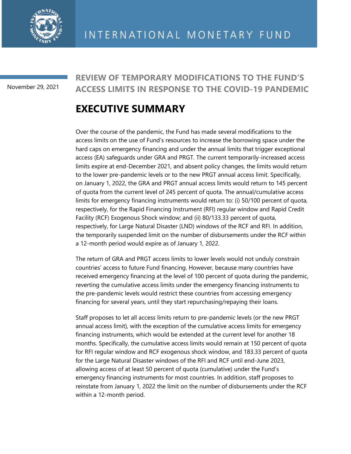

November 29, 2021

### **REVIEW OF TEMPORARY MODIFICATIONS TO THE FUND'S ACCESS LIMITS IN RESPONSE TO THE COVID-19 PANDEMIC**

## **EXECUTIVE SUMMARY**

Over the course of the pandemic, the Fund has made several modifications to the access limits on the use of Fund's resources to increase the borrowing space under the hard caps on emergency financing and under the annual limits that trigger exceptional access (EA) safeguards under GRA and PRGT. The current temporarily-increased access limits expire at end-December 2021, and absent policy changes, the limits would return to the lower pre-pandemic levels or to the new PRGT annual access limit. Specifically, on January 1, 2022, the GRA and PRGT annual access limits would return to 145 percent of quota from the current level of 245 percent of quota. The annual/cumulative access limits for emergency financing instruments would return to: (i) 50/100 percent of quota, respectively, for the Rapid Financing Instrument (RFI) regular window and Rapid Credit Facility (RCF) Exogenous Shock window; and (ii) 80/133.33 percent of quota, respectively, for Large Natural Disaster (LND) windows of the RCF and RFI. In addition, the temporarily suspended limit on the number of disbursements under the RCF within a 12-month period would expire as of January 1, 2022.

The return of GRA and PRGT access limits to lower levels would not unduly constrain countries' access to future Fund financing. However, because many countries have received emergency financing at the level of 100 percent of quota during the pandemic, reverting the cumulative access limits under the emergency financing instruments to the pre-pandemic levels would restrict these countries from accessing emergency financing for several years, until they start repurchasing/repaying their loans.

Staff proposes to let all access limits return to pre-pandemic levels (or the new PRGT annual access limit), with the exception of the cumulative access limits for emergency financing instruments, which would be extended at the current level for another 18 months. Specifically, the cumulative access limits would remain at 150 percent of quota for RFI regular window and RCF exogenous shock window, and 183.33 percent of quota for the Large Natural Disaster windows of the RFI and RCF until end-June 2023, allowing access of at least 50 percent of quota (cumulative) under the Fund's emergency financing instruments for most countries. In addition, staff proposes to reinstate from January 1, 2022 the limit on the number of disbursements under the RCF within a 12-month period.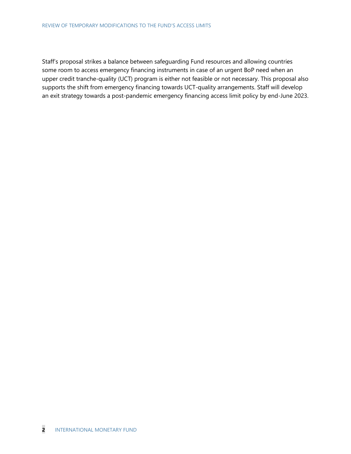Staff's proposal strikes a balance between safeguarding Fund resources and allowing countries some room to access emergency financing instruments in case of an urgent BoP need when an upper credit tranche-quality (UCT) program is either not feasible or not necessary. This proposal also supports the shift from emergency financing towards UCT-quality arrangements. Staff will develop an exit strategy towards a post-pandemic emergency financing access limit policy by end-June 2023.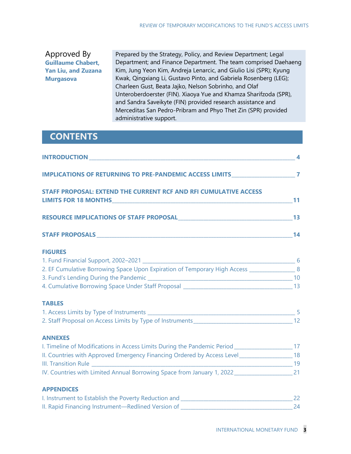#### Approved By **Guillaume Chabert, Yan Liu, and Zuzana Murgasova**

Prepared by the Strategy, Policy, and Review Department; Legal Department; and Finance Department. The team comprised Daehaeng Kim, Jung Yeon Kim, Andreja Lenarcic, and Giulio Lisi (SPR); Kyung Kwak, Qingxiang Li, Gustavo Pinto, and Gabriela Rosenberg (LEG); Charleen Gust, Beata Jajko, Nelson Sobrinho, and Olaf Unteroberdoerster (FIN). Xiaoya Yue and Khamza Sharifzoda (SPR), and Sandra Saveikyte (FIN) provided research assistance and Merceditas San Pedro-Pribram and Phyo Thet Zin (SPR) provided administrative support.

## **CONTENTS**

| INTRODUCTION 4                                                                                      |  |
|-----------------------------------------------------------------------------------------------------|--|
| IMPLICATIONS OF RETURNING TO PRE-PANDEMIC ACCESS LIMITS__________________________7                  |  |
| STAFF PROPOSAL: EXTEND THE CURRENT RCF AND RFI CUMULATIVE ACCESS                                    |  |
|                                                                                                     |  |
|                                                                                                     |  |
| <b>FIGURES</b>                                                                                      |  |
|                                                                                                     |  |
| 2. EF Cumulative Borrowing Space Upon Expiration of Temporary High Access ________________ 8        |  |
|                                                                                                     |  |
|                                                                                                     |  |
| <b>TABLES</b>                                                                                       |  |
|                                                                                                     |  |
|                                                                                                     |  |
| <b>ANNEXES</b>                                                                                      |  |
| I. Timeline of Modifications in Access Limits During the Pandemic Period ________________________17 |  |
| II. Countries with Approved Emergency Financing Ordered by Access Level__________________18         |  |
|                                                                                                     |  |
| IV. Countries with Limited Annual Borrowing Space from January 1, 2022_________________________21   |  |
| <b>APPENDICES</b>                                                                                   |  |
|                                                                                                     |  |
|                                                                                                     |  |
|                                                                                                     |  |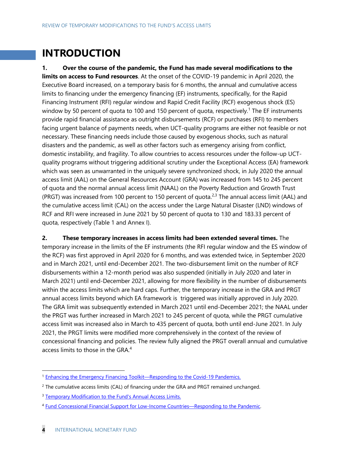## **INTRODUCTION**

**1. Over the course of the pandemic, the Fund has made several modifications to the limits on access to Fund resources**. At the onset of the COVID-19 pandemic in April 2020, the Executive Board increased, on a temporary basis for 6 months, the annual and cumulative access limits to financing under the emergency financing (EF) instruments, specifically, for the Rapid Financing Instrument (RFI) regular window and Rapid Credit Facility (RCF) exogenous shock (ES) window by 50 percent of quota to 100 and 150 percent of quota, respectively.<sup>1</sup> The EF instruments provide rapid financial assistance as outright disbursements (RCF) or purchases (RFI) to members facing urgent balance of payments needs, when UCT-quality programs are either not feasible or not necessary. These financing needs include those caused by exogenous shocks, such as natural disasters and the pandemic, as well as other factors such as emergency arising from conflict, domestic instability, and fragility. To allow countries to access resources under the follow-up UCTquality programs without triggering additional scrutiny under the Exceptional Access (EA) framework which was seen as unwarranted in the uniquely severe synchronized shock, in July 2020 the annual access limit (AAL) on the General Resources Account (GRA) was increased from 145 to 245 percent of quota and the normal annual access limit (NAAL) on the Poverty Reduction and Growth Trust (PRGT) was increased from 100 percent to 150 percent of quota.<sup>2,3</sup> The annual access limit (AAL) and the cumulative access limit (CAL) on the access under the Large Natural Disaster (LND) windows of RCF and RFI were increased in June 2021 by 50 percent of quota to 130 and 183.33 percent of quota, respectively (Table 1 and Annex I).

**2. These temporary increases in access limits had been extended several times.** The temporary increase in the limits of the EF instruments (the RFI regular window and the ES window of the RCF) was first approved in April 2020 for 6 months, and was extended twice, in September 2020 and in March 2021, until end-December 2021. The two-disbursement limit on the number of RCF disbursements within a 12-month period was also suspended (initially in July 2020 and later in March 2021) until end-December 2021, allowing for more flexibility in the number of disbursements within the access limits which are hard caps. Further, the temporary increase in the GRA and PRGT annual access limits beyond which EA framework is triggered was initially approved in July 2020. The GRA limit was subsequently extended in March 2021 until end-December 2021; the NAAL under the PRGT was further increased in March 2021 to 245 percent of quota, while the PRGT cumulative access limit was increased also in March to 435 percent of quota, both until end-June 2021. In July 2021, the PRGT limits were modified more comprehensively in the context of the review of concessional financing and policies. The review fully aligned the PRGT overall annual and cumulative access limits to those in the GRA.<sup>4</sup>

<sup>&</sup>lt;sup>1</sup> [Enhancing the Emergency Financing Toolkit](https://www.imf.org/en/publications/policy-papers/issues/2020/04/09/enhancing-the-emergency-financing-toolkit-responding-to-the-covid-19-pandemic-49320)—Responding to the Covid-19 Pandemics.

<sup>&</sup>lt;sup>2</sup> The cumulative access limits (CAL) of financing under the GRA and PRGT remained unchanged.

<sup>&</sup>lt;sup>3</sup> [Temporary Modification to the Fund's Annual Access Limits.](https://www.imf.org/en/Publications/Policy-Papers/Issues/2020/07/22/Temporary-Modification-to-the-Fund-s-Annual-Access-Limits-49600)

<sup>4</sup> [Fund Concessional Financial Support for Low-Income Countries](https://www.imf.org/en/Publications/Policy-Papers/Issues/2021/07/22/Fund-Concessional-Financial-Support-For-Low-Income-Countries-Responding-To-The-Pandemic-462520)—Responding to the Pandemic.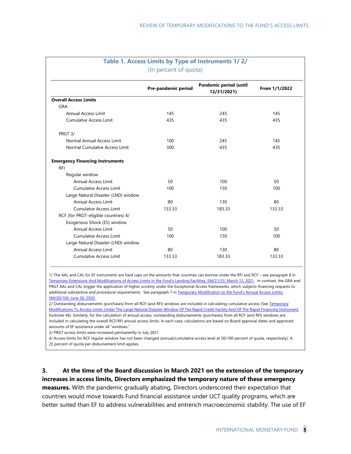|                                        | Pre-pandemic period | Pandemic period (until<br>12/31/2021) | From 1/1/2022 |
|----------------------------------------|---------------------|---------------------------------------|---------------|
| <b>Overall Access Limits</b>           |                     |                                       |               |
| GRA                                    |                     |                                       |               |
| Annual Access Limit                    | 145                 | 245                                   | 145           |
| Cumulatve Access Limit                 | 435                 | 435                                   | 435           |
| PRGT 3/                                |                     |                                       |               |
| Normal Annual Access Limit             | 100                 | 245                                   | 145           |
| Normal Cumulatve Access Limit          | 300                 | 435                                   | 435           |
| <b>Emergency Financing Instruments</b> |                     |                                       |               |
| <b>RFI</b>                             |                     |                                       |               |
| Regular window                         |                     |                                       |               |
| <b>Annual Access Limit</b>             | 50                  | 100                                   | 50            |
| Cumulatve Access Limit                 | 100                 | 150                                   | 100           |
| Large Natural Disaster (LND) window    |                     |                                       |               |
| Annual Access Limit                    | 80                  | 130                                   | 80            |
| Cumulatve Access Limit                 | 133.33              | 183.33                                | 133.33        |
| RCF (for PRGT-eligible countries) 4/   |                     |                                       |               |
| Exogenous Shock (ES) window            |                     |                                       |               |
| Annual Access Limit                    | 50                  | 100                                   | 50            |
| Cumulatve Access Limit                 | 100                 | 150                                   | 100           |
| Large Natural Disaster (LND) window    |                     |                                       |               |
| <b>Annual Access Limit</b>             | 80                  | 130                                   | 80            |
| <b>Cumulatve Access Limit</b>          | 133.33              | 183.33                                | 133.33        |

## **Table 1. Access Limits by Type of Instruments 1/ 2/**

1/ The AAL and CAL for EF instruments are hard caps on the amounts that countries can borrow under the RFI and RCF – see paragraph 8 in [Temporary Extensions And Modifications of Access Limits In the Fund's Lending Facilities, SM/21/33, March 12, 2021](https://www.imf.org/en/Publications/Policy-Papers/Issues/2021/03/25/Temporary-Extensions-and-Modifications-Of-Access-Limits-In-The-Funds-Lending-Facilities-50309). In contrast, the GRA and PRGT AAL and CAL trigger the application of higher scrutiny under the Exceptional Access frameworks, which subjects financing requests to additional substantive and procedural requirements. See paragraph 7 in Temporary Modification to the Fund's Annual Access Limits. [SM/20/100, June 30, 2020.](https://www.imf.org/en/Publications/Policy-Papers/Issues/2020/07/22/Temporary-Modification-to-the-Fund-s-Annual-Access-Limits-49600)

2/ Outstanding disbursements (purchases) from all RCF (and RFI) windows are included in calculating cumulative access (See Temporary [Modifications To Access Limits Under The Large Natural Disaster Window Of The Rapid Credit Facility And Of The Rapid Financing Instrument,](https://www.imf.org/en/Publications/Policy-Papers/Issues/2021/06/21/Temporary-Modifications-To-Access-Limits-Under-The-Large-Natural-Disaster-Window-Of-The-461093)  footnote 46). Similarly, for the calculation of annual access, outstanding disbursements (purchases) from all RCF (and RFI) windows are included in calculating the overall RCF/RFI annual access limits. In each case, calculations are based on Board approval dates and approved amounts of EF assistance under all "windows."

3/ PRGT access limits were increased permanently in July 2021.

4/ Access limits for RCF regular window has not been changed (annual/cumulative access level at 50/100 percent of quota, respectively). A 25 percent of quota per disbursement limit applies.

**3. At the time of the Board discussion in March 2021 on the extension of the temporary increases in access limits, Directors emphasized the temporary nature of these emergency measures.** With the pandemic gradually abating, Directors underscored their expectation that countries would move towards Fund financial assistance under UCT quality programs, which are better suited than EF to address vulnerabilities and entrench macroeconomic stability. The use of EF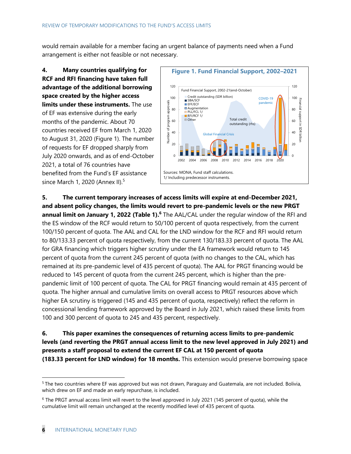would remain available for a member facing an urgent balance of payments need when a Fund arrangement is either not feasible or not necessary.

**4. Many countries qualifying for RCF and RFI financing have taken full advantage of the additional borrowing space created by the higher access limits under these instruments.** The use of EF was extensive during the early months of the pandemic. About 70 countries received EF from March 1, 2020 to August 31, 2020 (Figure 1). The number of requests for EF dropped sharply from July 2020 onwards, and as of end-October 2021, a total of 76 countries have benefited from the Fund's EF assistance since March 1, 2020 (Annex II). 5



**5. The current temporary increases of access limits will expire at end-December 2021, and absent policy changes, the limits would revert to pre-pandemic levels or the new PRGT**  annual limit on January 1, 2022 (Table 1).<sup>6</sup> The AAL/CAL under the regular window of the RFI and the ES window of the RCF would return to 50/100 percent of quota respectively, from the current 100/150 percent of quota. The AAL and CAL for the LND window for the RCF and RFI would return to 80/133.33 percent of quota respectively, from the current 130/183.33 percent of quota. The AAL for GRA financing which triggers higher scrutiny under the EA framework would return to 145 percent of quota from the current 245 percent of quota (with no changes to the CAL, which has remained at its pre-pandemic level of 435 percent of quota). The AAL for PRGT financing would be reduced to 145 percent of quota from the current 245 percent, which is higher than the prepandemic limit of 100 percent of quota. The CAL for PRGT financing would remain at 435 percent of quota. The higher annual and cumulative limits on overall access to PRGT resources above which higher EA scrutiny is triggered (145 and 435 percent of quota, respectively) reflect the reform in concessional lending framework approved by the Board in July 2021, which raised these limits from 100 and 300 percent of quota to 245 and 435 percent, respectively.

**6. This paper examines the consequences of returning access limits to pre-pandemic levels (and reverting the PRGT annual access limit to the new level approved in July 2021) and presents a staff proposal to extend the current EF CAL at 150 percent of quota (183.33 percent for LND window) for 18 months.** This extension would preserve borrowing space

<sup>5</sup> The two countries where EF was approved but was not drawn, Paraguay and Guatemala, are not included. Bolivia, which drew on EF and made an early repurchase, is included.

<sup>6</sup> The PRGT annual access limit will revert to the level approved in July 2021 (145 percent of quota), while the cumulative limit will remain unchanged at the recently modified level of 435 percent of quota.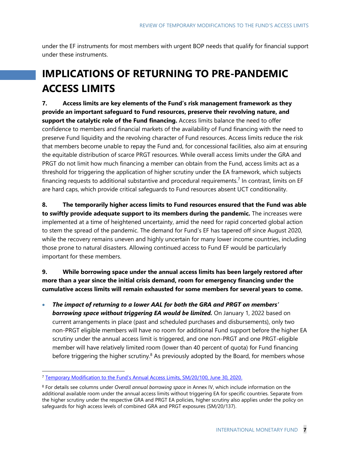under the EF instruments for most members with urgent BOP needs that qualify for financial support under these instruments.

## **IMPLICATIONS OF RETURNING TO PRE-PANDEMIC ACCESS LIMITS**

**7. Access limits are key elements of the Fund's risk management framework as they provide an important safeguard to Fund resources, preserve their revolving nature, and support the catalytic role of the Fund financing.** Access limits balance the need to offer confidence to members and financial markets of the availability of Fund financing with the need to preserve Fund liquidity and the revolving character of Fund resources. Access limits reduce the risk that members become unable to repay the Fund and, for concessional facilities, also aim at ensuring the equitable distribution of scarce PRGT resources. While overall access limits under the GRA and PRGT do not limit how much financing a member can obtain from the Fund, access limits act as a threshold for triggering the application of higher scrutiny under the EA framework, which subjects financing requests to additional substantive and procedural requirements.<sup>7</sup> In contrast, limits on EF are hard caps, which provide critical safeguards to Fund resources absent UCT conditionality.

**8. The temporarily higher access limits to Fund resources ensured that the Fund was able to swiftly provide adequate support to its members during the pandemic.** The increases were implemented at a time of heightened uncertainty, amid the need for rapid concerted global action to stem the spread of the pandemic. The demand for Fund's EF has tapered off since August 2020, while the recovery remains uneven and highly uncertain for many lower income countries, including those prone to natural disasters. Allowing continued access to Fund EF would be particularly important for these members.

#### **9. While borrowing space under the annual access limits has been largely restored after more than a year since the initial crisis demand, room for emergency financing under the cumulative access limits will remain exhausted for some members for several years to come.**

• *The impact of returning to a lower AAL for both the GRA and PRGT on members' borrowing space without triggering EA would be limited.* On January 1, 2022 based on current arrangements in place (past and scheduled purchases and disbursements), only two non-PRGT eligible members will have no room for additional Fund support before the higher EA scrutiny under the annual access limit is triggered, and one non-PRGT and one PRGT-eligible member will have relatively limited room (lower than 40 percent of quota) for Fund financing before triggering the higher scrutiny.<sup>8</sup> As previously adopted by the Board, for members whose

<sup>7</sup> [Temporary Modification to the Fund's Annual Access Limits, SM/20/100, June 30, 2020](https://www.imf.org/en/Publications/Policy-Papers/Issues/2020/07/22/Temporary-Modification-to-the-Fund-s-Annual-Access-Limits-49600).

<sup>8</sup> For details see columns under *Overall annual borrowing space* in Annex IV, which include information on the additional available room under the annual access limits without triggering EA for specific countries. Separate from the higher scrutiny under the respective GRA and PRGT EA policies, higher scrutiny also applies under the policy on safeguards for high access levels of combined GRA and PRGT exposures (SM/20/137).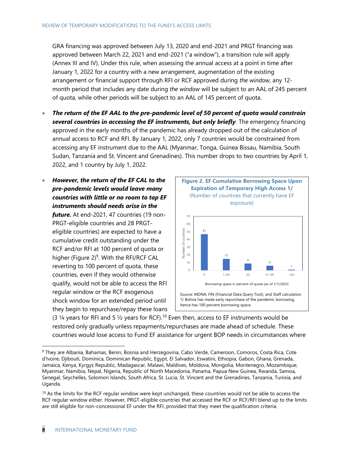GRA financing was approved between July 13, 2020 and end-2021 and PRGT financing was approved between March 22, 2021 and end-2021 ("a window"), a transition rule will apply (Annex III and IV). Under this rule, when assessing the annual access at a point in time after January 1, 2022 for a country with a new arrangement, augmentation of the existing arrangement or financial support through RFI or RCF approved during *the window*, any 12 month period that includes any date during *the window* will be subject to an AAL of 245 percent of quota, while other periods will be subject to an AAL of 145 percent of quota.

- *The return of the EF AAL to the pre-pandemic level of 50 percent of quota would constrain several countries in accessing the EF instruments, but only briefly*. The emergency financing approved in the early months of the pandemic has already dropped out of the calculation of annual access to RCF and RFI. By January 1, 2022, only 7 countries would be constrained from accessing any EF instrument due to the AAL (Myanmar, Tonga, Guinea Bissau, Namibia, South Sudan, Tanzania and St. Vincent and Grenadines). This number drops to two countries by April 1, 2022, and 1 country by July 1, 2022.
- *However, the return of the EF CAL to the pre-pandemic levels would leave many countries with little or no room to tap EF instruments should needs arise in the future.* At end-2021, 47 countries (19 non-PRGT-eligible countries and 28 PRGTeligible countries) are expected to have a cumulative credit outstanding under the RCF and/or RFI at 100 percent of quota or higher (Figure 2)<sup>9</sup>. With the RFI/RCF CAL reverting to 100 percent of quota, these countries, even if they would otherwise qualify, would not be able to access the RFI regular window or the RCF exogenous shock window for an extended period until they begin to repurchase/repay these loans



Source: MONA, FIN (Financial Data Query Tool), and Staff calculation. 1/ Bolivia has made early repurchase of the pandemic borrowing, hence has 100 percent borrowing space.

(3  $\frac{1}{4}$  years for RFI and 5  $\frac{1}{2}$  years for RCF).<sup>10</sup> Even then, access to EF instruments would be restored only gradually unless repayments/repurchases are made ahead of schedule. These countries would lose access to Fund EF assistance for urgent BOP needs in circumstances where

<sup>9</sup> They are Albania, Bahamas, Benin, Bosnia and Herzegovina, Cabo Verde, Cameroon, Comoros, Costa Rica, Cote d'Ivoire, Djibouti, Dominica, Dominican Republic, Egypt, El Salvador, Eswatini, Ethiopia, Gabon, Ghana, Grenada, Jamaica, Kenya, Kyrgyz Republic, Madagascar, Malawi, Maldives, Moldova, Mongolia, Montenegro, Mozambique, Myanmar, Namibia, Nepal, Nigeria, Republic of North Macedonia, Panama, Papua New Guinea, Rwanda, Samoa, Senegal, Seychelles, Solomon Islands, South Africa, St. Lucia, St. Vincent and the Grenadines, Tanzania, Tunisia, and Uganda.

<sup>&</sup>lt;sup>10</sup> As the limits for the RCF regular window were kept unchanged, these countries would not be able to access the RCF regular window either. However, PRGT-eligible countries that accessed the RCF or RCF/RFI blend up to the limits are still eligible for non-concessional EF under the RFI, provided that they meet the qualification criteria.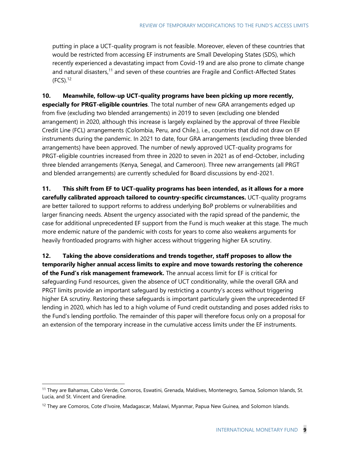putting in place a UCT-quality program is not feasible. Moreover, eleven of these countries that would be restricted from accessing EF instruments are Small Developing States (SDS), which recently experienced a devastating impact from Covid-19 and are also prone to climate change and natural disasters,<sup>11</sup> and seven of these countries are Fragile and Conflict-Affected States  $(FCS)<sup>12</sup>$ 

**10. Meanwhile, follow-up UCT-quality programs have been picking up more recently, especially for PRGT-eligible countries**. The total number of new GRA arrangements edged up from five (excluding two blended arrangements) in 2019 to seven (excluding one blended arrangement) in 2020, although this increase is largely explained by the approval of three Flexible Credit Line (FCL) arrangements (Colombia, Peru, and Chile.), i.e., countries that did not draw on EF instruments during the pandemic. In 2021 to date, four GRA arrangements (excluding three blended arrangements) have been approved. The number of newly approved UCT-quality programs for PRGT-eligible countries increased from three in 2020 to seven in 2021 as of end-October, including three blended arrangements (Kenya, Senegal, and Cameroon). Three new arrangements (all PRGT and blended arrangements) are currently scheduled for Board discussions by end-2021.

**11. This shift from EF to UCT-quality programs has been intended, as it allows for a more carefully calibrated approach tailored to country-specific circumstances.** UCT-quality programs are better tailored to support reforms to address underlying BoP problems or vulnerabilities and larger financing needs. Absent the urgency associated with the rapid spread of the pandemic, the case for additional unprecedented EF support from the Fund is much weaker at this stage. The much more endemic nature of the pandemic with costs for years to come also weakens arguments for heavily frontloaded programs with higher access without triggering higher EA scrutiny.

**12. Taking the above considerations and trends together, staff proposes to allow the temporarily higher annual access limits to expire and move towards restoring the coherence of the Fund's risk management framework.** The annual access limit for EF is critical for safeguarding Fund resources, given the absence of UCT conditionality, while the overall GRA and PRGT limits provide an important safeguard by restricting a country's access without triggering higher EA scrutiny. Restoring these safeguards is important particularly given the unprecedented EF lending in 2020, which has led to a high volume of Fund credit outstanding and poses added risks to the Fund's lending portfolio. The remainder of this paper will therefore focus only on a proposal for an extension of the temporary increase in the cumulative access limits under the EF instruments.

<sup>&</sup>lt;sup>11</sup> They are Bahamas, Cabo Verde, Comoros, Eswatini, Grenada, Maldives, Montenegro, Samoa, Solomon Islands, St. Lucia, and St. Vincent and Grenadine.

<sup>&</sup>lt;sup>12</sup> They are Comoros, Cote d'Ivoire, Madagascar, Malawi, Myanmar, Papua New Guinea, and Solomon Islands.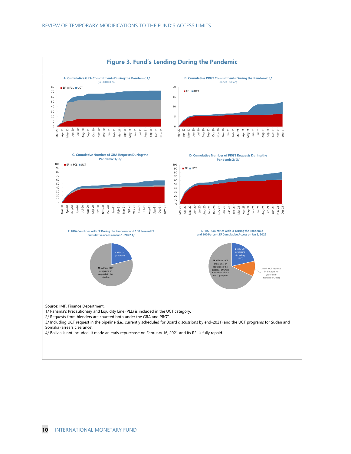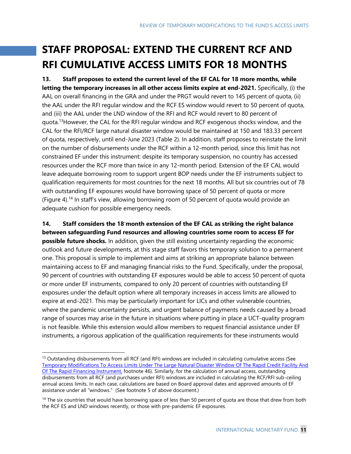## **STAFF PROPOSAL: EXTEND THE CURRENT RCF AND RFI CUMULATIVE ACCESS LIMITS FOR 18 MONTHS**

**13. Staff proposes to extend the current level of the EF CAL for 18 more months, while letting the temporary increases in all other access limits expire at end-2021.** Specifically, (i) the AAL on overall financing in the GRA and under the PRGT would revert to 145 percent of quota, (ii) the AAL under the RFI regular window and the RCF ES window would revert to 50 percent of quota, and (iii) the AAL under the LND window of the RFI and RCF would revert to 80 percent of quota.<sup>13</sup> However, the CAL for the RFI regular window and RCF exogenous shocks window, and the CAL for the RFI/RCF large natural disaster window would be maintained at 150 and 183.33 percent of quota, respectively, until end-June 2023 (Table 2). In addition, staff proposes to reinstate the limit on the number of disbursements under the RCF within a 12-month period, since this limit has not constrained EF under this instrument: despite its temporary suspension, no country has accessed resources under the RCF more than twice in any 12-month period. Extension of the EF CAL would leave adequate borrowing room to support urgent BOP needs under the EF instruments subject to qualification requirements for most countries for the next 18 months. All but six countries out of 78 with outstanding EF exposures would have borrowing space of 50 percent of quota or more (Figure 4). <sup>14</sup> In staff's view, allowing borrowing room of 50 percent of quota would provide an adequate cushion for possible emergency needs.

**14. Staff considers the 18-month extension of the EF CAL as striking the right balance between safeguarding Fund resources and allowing countries some room to access EF for possible future shocks.** In addition, given the still existing uncertainty regarding the economic outlook and future developments, at this stage staff favors this temporary solution to a permanent one. This proposal is simple to implement and aims at striking an appropriate balance between maintaining access to EF and managing financial risks to the Fund. Specifically, under the proposal, 90 percent of countries with outstanding EF exposures would be able to access 50 percent of quota or more under EF instruments, compared to only 20 percent of countries with outstanding EF exposures under the default option where all temporary increases in access limits are allowed to expire at end-2021. This may be particularly important for LICs and other vulnerable countries, where the pandemic uncertainty persists, and urgent balance of payments needs caused by a broad range of sources may arise in the future in situations where putting in place a UCT-quality program is not feasible. While this extension would allow members to request financial assistance under EF instruments, a rigorous application of the qualification requirements for these instruments would

 $13$  Outstanding disbursements from all RCF (and RFI) windows are included in calculating cumulative access (See [Temporary Modifications To Access Limits Under The Large Natural Disaster Window Of The Rapid Credit Facility And](https://www.imf.org/en/Publications/Policy-Papers/Issues/2021/06/21/Temporary-Modifications-To-Access-Limits-Under-The-Large-Natural-Disaster-Window-Of-The-461093)  [Of The Rapid Financing Instrument,](https://www.imf.org/en/Publications/Policy-Papers/Issues/2021/06/21/Temporary-Modifications-To-Access-Limits-Under-The-Large-Natural-Disaster-Window-Of-The-461093) footnote 46). Similarly, for the calculation of annual access, outstanding disbursements from all RCF (and purchases under RFI) windows are included in calculating the RCF/RFI sub-ceiling annual access limits. In each case, calculations are based on Board approval dates and approved amounts of EF assistance under all "windows." (See footnote 5 of above document.)

<sup>&</sup>lt;sup>14</sup> The six countries that would have borrowing space of less than 50 percent of quota are those that drew from both the RCF ES and LND windows recently, or those with pre-pandemic EF exposures.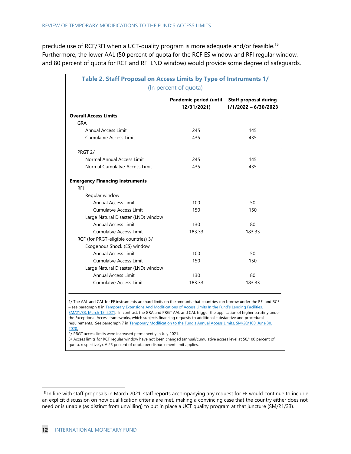preclude use of RCF/RFI when a UCT-quality program is more adequate and/or feasible.<sup>15</sup> Furthermore, the lower AAL (50 percent of quota for the RCF ES window and RFI regular window, and 80 percent of quota for RCF and RFI LND window) would provide some degree of safeguards.

| Table 2. Staff Proposal on Access Limits by Type of Instruments 1/<br>(In percent of quota) |                                              |                                                      |  |  |  |
|---------------------------------------------------------------------------------------------|----------------------------------------------|------------------------------------------------------|--|--|--|
|                                                                                             | <b>Pandemic period (until</b><br>12/31/2021) | <b>Staff proposal during</b><br>1/1/2022 - 6/30/2023 |  |  |  |
| <b>Overall Access Limits</b>                                                                |                                              |                                                      |  |  |  |
| GRA                                                                                         |                                              |                                                      |  |  |  |
| Annual Access Limit                                                                         | 245                                          | 145                                                  |  |  |  |
| Cumulatve Access Limit                                                                      | 435                                          | 435                                                  |  |  |  |
| PRGT 2/                                                                                     |                                              |                                                      |  |  |  |
| Normal Annual Access Limit                                                                  | 245                                          | 145                                                  |  |  |  |
| Normal Cumulatve Access Limit                                                               | 435                                          | 435                                                  |  |  |  |
| <b>Emergency Financing Instruments</b>                                                      |                                              |                                                      |  |  |  |
| <b>RFI</b>                                                                                  |                                              |                                                      |  |  |  |
| Regular window                                                                              |                                              |                                                      |  |  |  |
| Annual Access Limit                                                                         | 100                                          | 50                                                   |  |  |  |
| Cumulatve Access Limit                                                                      | 150                                          | 150                                                  |  |  |  |
| Large Natural Disaster (LND) window                                                         |                                              |                                                      |  |  |  |
| <b>Annual Access Limit</b>                                                                  | 130                                          | 80                                                   |  |  |  |
| Cumulatve Access Limit                                                                      | 183.33                                       | 183.33                                               |  |  |  |
| RCF (for PRGT-eligible countries) 3/                                                        |                                              |                                                      |  |  |  |
| Exogenous Shock (ES) window                                                                 |                                              |                                                      |  |  |  |
| Annual Access Limit                                                                         | 100                                          | 50                                                   |  |  |  |
| Cumulatve Access Limit                                                                      | 150                                          | 150                                                  |  |  |  |
| Large Natural Disaster (LND) window                                                         |                                              |                                                      |  |  |  |
| Annual Access Limit                                                                         | 130                                          | 80                                                   |  |  |  |
| Cumulatve Access Limit                                                                      | 183.33                                       | 183.33                                               |  |  |  |

1/ The AAL and CAL for EF instruments are hard limits on the amounts that countries can borrow under the RFI and RCF – see paragraph 8 in [Temporary Extensions And Modifications of Access Limits In the Fund's Lending Facilities,](https://www.imf.org/en/Publications/Policy-Papers/Issues/2021/03/25/Temporary-Extensions-and-Modifications-Of-Access-Limits-In-The-Funds-Lending-Facilities-50309) 

[SM/21/33, March 12, 2021.](https://www.imf.org/en/Publications/Policy-Papers/Issues/2021/03/25/Temporary-Extensions-and-Modifications-Of-Access-Limits-In-The-Funds-Lending-Facilities-50309) In contrast, the GRA and PRGT AAL and CAL trigger the application of higher scrutiny under the Exceptional Access frameworks, which subjects financing requests to additional substantive and procedural requirements. See paragraph 7 in [Temporary Modification to the Fund's Annual Access Limits, SM/20/100, June 30,](https://www.imf.org/en/Publications/Policy-Papers/Issues/2020/07/22/Temporary-Modification-to-the-Fund-s-Annual-Access-Limits-49600)  [2020.](https://www.imf.org/en/Publications/Policy-Papers/Issues/2020/07/22/Temporary-Modification-to-the-Fund-s-Annual-Access-Limits-49600)

2/ PRGT access limits were increased permanently in July 2021.

3/ Access limits for RCF regular window have not been changed (annual/cumulative access level at 50/100 percent of quota, respectively). A 25 percent of quota per disbursement limit applies.

<sup>&</sup>lt;sup>15</sup> In line with staff proposals in March 2021, staff reports accompanying any request for EF would continue to include an explicit discussion on how qualification criteria are met, making a convincing case that the country either does not need or is unable (as distinct from unwilling) to put in place a UCT quality program at that juncture (SM/21/33).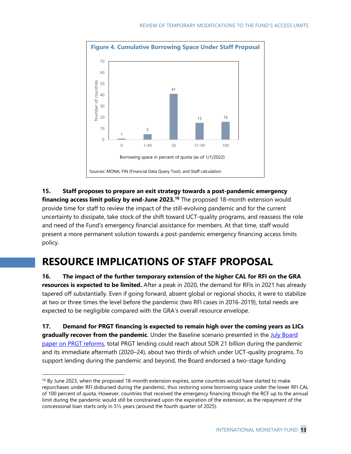

**15. Staff proposes to prepare an exit strategy towards a post-pandemic emergency financing access limit policy by end-June 2023.<sup>16</sup> The proposed 18-month extension would** provide time for staff to review the impact of the still-evolving pandemic and for the current uncertainty to dissipate, take stock of the shift toward UCT-quality programs, and reassess the role and need of the Fund's emergency financial assistance for members. At that time, staff would present a more permanent solution towards a post-pandemic emergency financing access limits policy.

## **RESOURCE IMPLICATIONS OF STAFF PROPOSAL**

**16. The impact of the further temporary extension of the higher CAL for RFI on the GRA resources is expected to be limited.** After a peak in 2020, the demand for RFIs in 2021 has already tapered off substantially. Even if going forward, absent global or regional shocks, it were to stabilize at two or three times the level before the pandemic (two RFI cases in 2016-2019), total needs are expected to be negligible compared with the GRA's overall resource envelope.

**17. Demand for PRGT financing is expected to remain high over the coming years as LICs**  gradually recover from the pandemic. Under the Baseline scenario presented in the **July Board** [paper on PRGT reforms,](https://www.imf.org/en/Publications/Policy-Papers/Issues/2021/07/22/Fund-Concessional-Financial-Support-For-Low-Income-Countries-Responding-To-The-Pandemic-462520) total PRGT lending could reach about SDR 21 billion during the pandemic and its immediate aftermath (2020–24), about two thirds of which under UCT-quality programs. To support lending during the pandemic and beyond, the Board endorsed a two-stage funding

<sup>&</sup>lt;sup>16</sup> By June 2023, when the proposed 18-month extension expires, some countries would have started to make repurchases under RFI disbursed during the pandemic, thus restoring some borrowing space under the lower RFI CAL of 100 percent of quota. However, countries that received the emergency financing through the RCF up to the annual limit during the pandemic would still be constrained upon the expiration of the extension, as the repayment of the concessional loan starts only in 5½ years (around the fourth quarter of 2025).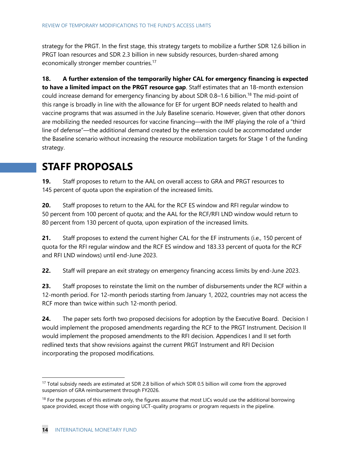strategy for the PRGT. In the first stage, this strategy targets to mobilize a further SDR 12.6 billion in PRGT loan resources and SDR 2.3 billion in new subsidy resources, burden-shared among economically stronger member countries.<sup>17</sup>

**18. A further extension of the temporarily higher CAL for emergency financing is expected to have a limited impact on the PRGT resource gap**. Staff estimates that an 18-month extension could increase demand for emergency financing by about SDR 0.8-1.6 billion.<sup>18</sup> The mid-point of this range is broadly in line with the allowance for EF for urgent BOP needs related to health and vaccine programs that was assumed in the July Baseline scenario. However, given that other donors are mobilizing the needed resources for vaccine financing—with the IMF playing the role of a "third line of defense"—the additional demand created by the extension could be accommodated under the Baseline scenario without increasing the resource mobilization targets for Stage 1 of the funding strategy.

## **STAFF PROPOSALS**

**19.** Staff proposes to return to the AAL on overall access to GRA and PRGT resources to 145 percent of quota upon the expiration of the increased limits.

**20.** Staff proposes to return to the AAL for the RCF ES window and RFI regular window to 50 percent from 100 percent of quota; and the AAL for the RCF/RFI LND window would return to 80 percent from 130 percent of quota, upon expiration of the increased limits.

**21.** Staff proposes to extend the current higher CAL for the EF instruments (i.e., 150 percent of quota for the RFI regular window and the RCF ES window and 183.33 percent of quota for the RCF and RFI LND windows) until end-June 2023.

**22.** Staff will prepare an exit strategy on emergency financing access limits by end-June 2023.

**23.** Staff proposes to reinstate the limit on the number of disbursements under the RCF within a 12-month period. For 12-month periods starting from January 1, 2022, countries may not access the RCF more than twice within such 12-month period.

**24.** The paper sets forth two proposed decisions for adoption by the Executive Board. Decision I would implement the proposed amendments regarding the RCF to the PRGT Instrument. Decision II would implement the proposed amendments to the RFI decision. Appendices I and II set forth redlined texts that show revisions against the current PRGT Instrument and RFI Decision incorporating the proposed modifications.

<sup>&</sup>lt;sup>17</sup> Total subsidy needs are estimated at SDR 2.8 billion of which SDR 0.5 billion will come from the approved suspension of GRA reimbursement through FY2026.

 $18$  For the purposes of this estimate only, the figures assume that most LICs would use the additional borrowing space provided, except those with ongoing UCT-quality programs or program requests in the pipeline.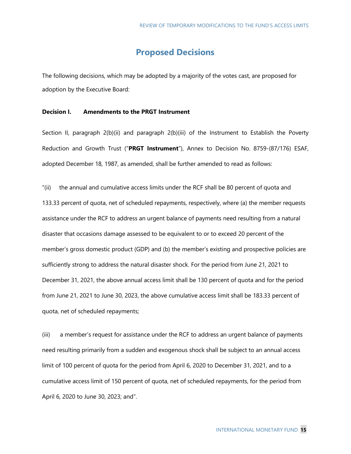### **Proposed Decisions**

The following decisions, which may be adopted by a majority of the votes cast, are proposed for adoption by the Executive Board:

#### **Decision I. Amendments to the PRGT Instrument**

Section II, paragraph 2(b)(ii) and paragraph 2(b)(iii) of the Instrument to Establish the Poverty Reduction and Growth Trust ("**PRGT Instrument**"), Annex to Decision No. 8759-(87/176) ESAF, adopted December 18, 1987, as amended, shall be further amended to read as follows:

"(ii) the annual and cumulative access limits under the RCF shall be 80 percent of quota and 133.33 percent of quota, net of scheduled repayments, respectively, where (a) the member requests assistance under the RCF to address an urgent balance of payments need resulting from a natural disaster that occasions damage assessed to be equivalent to or to exceed 20 percent of the member's gross domestic product (GDP) and (b) the member's existing and prospective policies are sufficiently strong to address the natural disaster shock. For the period from June 21, 2021 to December 31, 2021, the above annual access limit shall be 130 percent of quota and for the period from June 21, 2021 to June 30, 2023, the above cumulative access limit shall be 183.33 percent of quota, net of scheduled repayments;

(iii) a member's request for assistance under the RCF to address an urgent balance of payments need resulting primarily from a sudden and exogenous shock shall be subject to an annual access limit of 100 percent of quota for the period from April 6, 2020 to December 31, 2021, and to a cumulative access limit of 150 percent of quota, net of scheduled repayments, for the period from April 6, 2020 to June 30, 2023; and".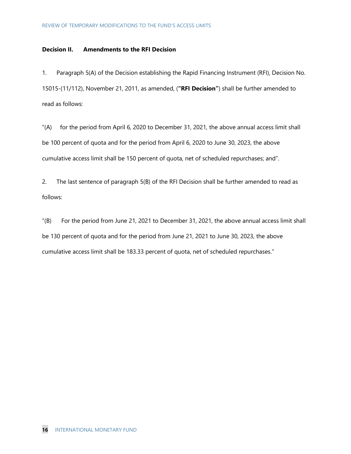#### **Decision II. Amendments to the RFI Decision**

1. Paragraph 5(A) of the Decision establishing the Rapid Financing Instrument (RFI), Decision No. 15015-(11/112), November 21, 2011, as amended, (**"RFI Decision"**) shall be further amended to read as follows:

"(A) for the period from April 6, 2020 to December 31, 2021, the above annual access limit shall be 100 percent of quota and for the period from April 6, 2020 to June 30, 2023, the above cumulative access limit shall be 150 percent of quota, net of scheduled repurchases; and".

2. The last sentence of paragraph 5(B) of the RFI Decision shall be further amended to read as follows:

"(B) For the period from June 21, 2021 to December 31, 2021, the above annual access limit shall be 130 percent of quota and for the period from June 21, 2021 to June 30, 2023, the above cumulative access limit shall be 183.33 percent of quota, net of scheduled repurchases."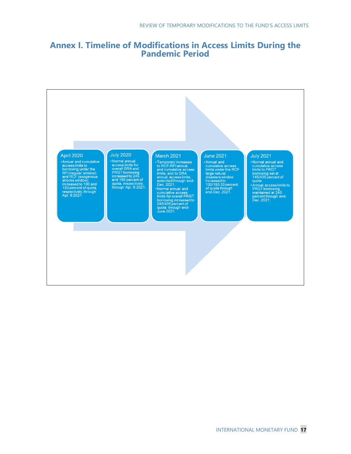### **Annex I. Timeline of Modifications in Access Limits During the Pandemic Period**

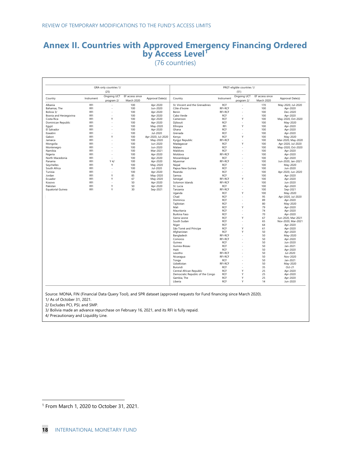## **Annex II. Countries with Approved Emergency Financing Ordered by Access Level<sup>1</sup>**

(76 countries)

| GRA-only countries 1/<br>(25) |            |                           |                                      |                    |                                  | PRGT-eligible countries 1/ |                           |                               |                    |
|-------------------------------|------------|---------------------------|--------------------------------------|--------------------|----------------------------------|----------------------------|---------------------------|-------------------------------|--------------------|
|                               |            |                           |                                      | (51)               |                                  |                            |                           |                               |                    |
| Country                       | Instrument | Ongoing UCT<br>program 2/ | EF access since<br><b>March 2020</b> | Approval Date(s)   | Country                          | Instrument                 | Ongoing UCT<br>program 2/ | EF access since<br>March 2020 | Approval Date(s)   |
| Albania                       | RFI        | ÷.                        | 100                                  | Apr-2020           | St. Vincent and the Grenadines   | RCF                        |                           | 170                           | May-2020, Jul-2020 |
| Bahamas, The                  | RFI        |                           | 100                                  | Jun-2020           | Côte d'Ivoire                    | RFI-RCF                    | ÷,                        | 100                           | Apr-2020           |
| Bolivia 3/                    | RFI        |                           | 100                                  | Apr-2020           | Benin                            | RFI-RCF                    | ÷                         | 100                           | Dec-2020           |
| Bosnia and Herzegovina        | RFI        |                           | 100                                  | Apr-2020           | Cabo Verde                       | RCF                        | ä,                        | 100                           | Apr-2020           |
| Costa Rica                    | RFI        | Υ                         | 100                                  | Apr-2020           | Cameroon                         | <b>RCF</b>                 | Υ                         | 100                           | May-2020, Oct-2020 |
| Dominican Republic            | RFI        |                           | 100                                  | Apr-2020           | Diibouti                         | <b>RCF</b>                 |                           | 100                           | May-2020           |
| Egypt                         | RFI        |                           | 100                                  | May-2020           | Ethiopia                         | RFI                        | Υ                         | 100                           | Apr-2020           |
| El Salvador                   | RFI        | <b>Co</b>                 | 100                                  | Apr-2020           | Ghana                            | <b>RCF</b>                 | ä,                        | 100                           | Apr-2020           |
| Eswatini                      | RFI        | <b>Co</b>                 | 100                                  | Jul-2020           | Grenada                          | <b>RCF</b>                 | ٠                         | 100                           | Apr-2020           |
| Gabon                         | RFI        | Υ                         | 100                                  | Apr-2020, Jul-2020 | Kenya                            | <b>RCF</b>                 | Υ                         | 100                           | May-2020           |
| Jamaica                       | RFI        |                           | 100                                  | May-2020           | Kyrgyz Republic                  | <b>RFI-RCF</b>             | ä,                        | 100                           | Mar-2020, May-2020 |
| Mongolia                      | RFI        |                           | 100                                  | Jun-2020           | Madagascar                       | RCF                        | Υ                         | 100                           | Apr-2020, Jul-2020 |
| Montenegro                    | RFI        |                           | 100                                  | Jun-2020           | Malawi                           | <b>RCF</b>                 |                           | 100                           | May-2020, Oct-2020 |
| Namibia                       | RFI        |                           | 100                                  | Mar-2021           | Maldives                         | <b>RCF</b>                 | ä,                        | 100                           | Apr-2020           |
| Nigeria                       | RFI        | <b>Co</b>                 | 100                                  | Apr-2020           | Moldova                          | RFI-RCF                    | ٠                         | 100                           | Apr-2020           |
| North Macedonia               | RFI        |                           | 100                                  | Apr-2020           | Mozambique                       | <b>RCF</b>                 | ÷.                        | 100                           | Apr-2020           |
| Panama                        | RFI        | Y4/                       | 100                                  | Apr-2020           | Myanmar                          | RFI-RCF                    | ٠                         | 100                           | Jun-2020, Jan-2021 |
| Seychelles                    | RFI        | Υ                         | 100                                  | May-2020           | Nepal                            | <b>RCF</b>                 | ÷.                        | 100                           | May-2020           |
| South Africa                  | RFI        | $\overline{\phantom{a}}$  | 100                                  | Jul-2020           | Papua New Guinea                 | <b>RCF</b>                 | ÷                         | 100                           | Jun-2020           |
| Tunisia                       | <b>RFI</b> |                           | 100                                  | Apr-2020           | Rwanda                           | <b>RCF</b>                 |                           | 100                           | Apr-2020, Jun-2020 |
| Jordan                        | RFI        | Y                         | 85                                   |                    | Samoa                            | <b>RCF</b>                 | ä,                        | 100                           | Apr-2020           |
|                               | RFI        |                           |                                      | May-2020           |                                  |                            | Υ                         |                               |                    |
| Ecuador                       | RFI        | Υ                         | 67                                   | May-2020           | Senegal                          | RFI-RCF                    | ÷                         | 100                           | Apr-2020           |
| Kosovo                        |            |                           | 50                                   | Apr-2020           | Solomon Islands                  | RFI-RCF                    |                           | 100                           | Jun-2020           |
| Pakistan                      | RFI        | Υ                         | 50                                   | Apr-2020           | St. Lucia                        | <b>RCF</b>                 | ٠                         | 100                           | Apr-2020           |
| <b>Equatorial Guinea</b>      | RFI        | Υ                         | 30                                   | Sep-2021           | Tanzania                         | RFI-RCF                    | <b>Co</b>                 | 100                           | Sep-2021           |
|                               |            |                           |                                      |                    | Uganda                           | <b>RCF</b>                 | Υ                         | 100                           | May-2020           |
|                               |            |                           |                                      |                    | Chad                             | <b>RCF</b>                 |                           | 95                            | Apr-2020, Jul-2020 |
|                               |            |                           |                                      |                    | Dominica                         | <b>RCF</b>                 | ÷,                        | 89                            | Apr-2020           |
|                               |            |                           |                                      |                    | Tajikistan                       | RCF                        |                           | 80                            | May-2020           |
|                               |            |                           |                                      |                    | Mali                             | <b>RCF</b>                 | Υ                         | 79                            | Apr-2020           |
|                               |            |                           |                                      |                    | Mauritania                       | <b>RCF</b>                 |                           | 74                            | Apr-2020           |
|                               |            |                           |                                      |                    | <b>Burkina Faso</b>              | <b>RCF</b>                 | ٠                         | 70                            | Apr-2020           |
|                               |            |                           |                                      |                    | Sierra Leone                     | RCF                        | Υ                         | 67                            | Jun-2020, Mar-2021 |
|                               |            |                           |                                      |                    | South Sudan                      | <b>RCF</b>                 | ÷                         | 65                            | Nov-2020, Mar-2021 |
|                               |            |                           |                                      |                    | Niger                            | <b>RCF</b>                 | ٠                         | 64                            | Apr-2020           |
|                               |            |                           |                                      |                    | São Tomé and Príncipe            | <b>RCF</b>                 | Υ                         | 61                            | Apr-2020           |
|                               |            |                           |                                      |                    | Afghanistan                      | <b>RCF</b>                 | Υ                         | 50                            | Apr-2020           |
|                               |            |                           |                                      |                    | Bangladesh                       | RFI-RCF                    |                           | 50                            | May-2020           |
|                               |            |                           |                                      |                    | Comoros                          | RFI-RCF                    | ٠                         | 50                            | Apr-2020           |
|                               |            |                           |                                      |                    | Guinea                           | RCF                        | ٠                         | 50                            | Jun-2020           |
|                               |            |                           |                                      |                    | Guinea-Bissau                    | <b>RCF</b>                 | ÷.                        | 50                            | Jan-2021           |
|                               |            |                           |                                      |                    | Haiti                            | RCF                        |                           | 50                            | Apr-2020           |
|                               |            |                           |                                      |                    | Lesotho                          | RFI-RCF                    | ÷.                        | 50                            | Jul-2020           |
|                               |            |                           |                                      |                    | Nicaragua                        | RFI-RCF                    |                           | 50                            | Nov-2020           |
|                               |            |                           |                                      |                    | Tonga                            | <b>RCF</b>                 |                           | 50                            | Jan-2021           |
|                               |            |                           |                                      |                    | Uzbekistan                       | RFI-RCF                    | ٠                         | 50                            | May-2020           |
|                               |            |                           |                                      |                    | Burundi                          | RCF                        | ÷                         | 35                            | Oct-21             |
|                               |            |                           |                                      |                    | Central African Republic         | <b>RCF</b>                 | Υ                         | 25                            | Apr-2020           |
|                               |            |                           |                                      |                    | Democratic Republic of the Congo | <b>RCF</b>                 | Υ                         | 25                            | Apr-2020           |
|                               |            |                           |                                      |                    | Gambia, The                      | <b>RCF</b>                 | Υ                         | 25                            |                    |
|                               |            |                           |                                      |                    |                                  |                            |                           |                               | Apr-2020           |
|                               |            |                           |                                      |                    | Liberia                          | <b>RCF</b>                 | Υ                         | 14                            | Jun-2020           |

Source: MONA, FIN (Financial Data Query Tool), and SPR dataset (approved requests for Fund financing since March 2020).

1/ As of October 31, 2021. 2/ Excludes PCI, PSI, and SMP.

3/ Bolivia made an advance repurchase on February 16, 2021, and its RFI is fully repaid.

4/ Precautionary and Liquidity Line.

<sup>1</sup> From March 1, 2020 to October 31, 2021.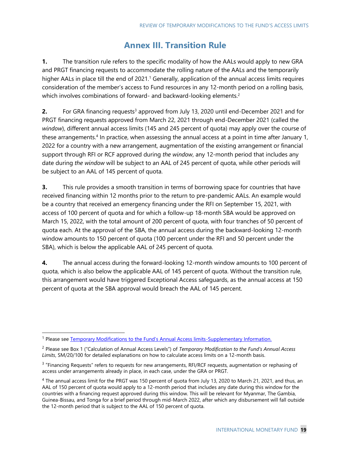### **Annex III. Transition Rule**

**1.** The transition rule refers to the specific modality of how the AALs would apply to new GRA and PRGT financing requests to accommodate the rolling nature of the AALs and the temporarily higher AALs in place till the end of 2021.<sup>1</sup> Generally, application of the annual access limits requires consideration of the member's access to Fund resources in any 12-month period on a rolling basis, which involves combinations of forward- and backward-looking elements.<sup>2</sup>

**2.** For GRA financing requests<sup>3</sup> approved from July 13, 2020 until end-December 2021 and for PRGT financing requests approved from March 22, 2021 through end-December 2021 (called the *window*), different annual access limits (145 and 245 percent of quota) may apply over the course of these arrangements.<sup>4</sup> In practice, when assessing the annual access at a point in time after January 1, 2022 for a country with a new arrangement, augmentation of the existing arrangement or financial support through RFI or RCF approved during *the window*, any 12-month period that includes any date during *the window* will be subject to an AAL of 245 percent of quota, while other periods will be subject to an AAL of 145 percent of quota.

**3.** This rule provides a smooth transition in terms of borrowing space for countries that have received financing within 12 months prior to the return to pre-pandemic AALs. An example would be a country that received an emergency financing under the RFI on September 15, 2021, with access of 100 percent of quota and for which a follow-up 18-month SBA would be approved on March 15, 2022, with the total amount of 200 percent of quota, with four tranches of 50 percent of quota each. At the approval of the SBA, the annual access during the backward-looking 12-month window amounts to 150 percent of quota (100 percent under the RFI and 50 percent under the SBA), which is below the applicable AAL of 245 percent of quota.

**4.** The annual access during the forward-looking 12-month window amounts to 100 percent of quota, which is also below the applicable AAL of 145 percent of quota. Without the transition rule, this arrangement would have triggered Exceptional Access safeguards, as the annual access at 150 percent of quota at the SBA approval would breach the AAL of 145 percent.

<sup>&</sup>lt;sup>1</sup> Please see Te[mporary Modifications to the Fund's Annual Access limits](https://www-isearch.imf.org/#q=sm%2F20%2F100&t=All&sort=relevancy)-Supplementary Information.

<sup>2</sup> Please see Box 1 ("Calculation of Annual Access Levels") of *Temporary Modification to the Fund's Annual Access Limits*, SM/20/100 for detailed explanations on how to calculate access limits on a 12-month basis.

<sup>&</sup>lt;sup>3</sup> "Financing Requests" refers to requests for new arrangements, RFI/RCF requests, augmentation or rephasing of access under arrangements already in place, in each case, under the GRA or PRGT.

<sup>&</sup>lt;sup>4</sup> The annual access limit for the PRGT was 150 percent of quota from July 13, 2020 to March 21, 2021, and thus, an AAL of 150 percent of quota would apply to a 12-month period that includes any date during this window for the countries with a financing request approved during this window. This will be relevant for Myanmar, The Gambia, Guinea-Bissau, and Tonga for a brief period through mid-March 2022, after which any disbursement will fall outside the 12-month period that is subject to the AAL of 150 percent of quota.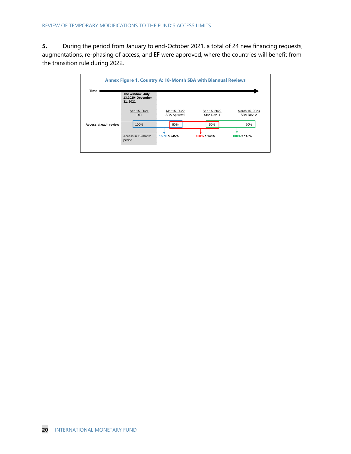**5.** During the period from January to end-October 2021, a total of 24 new financing requests, augmentations, re-phasing of access, and EF were approved, where the countries will benefit from the transition rule during 2022.

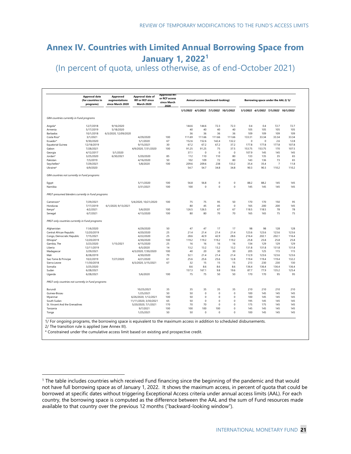### **Annex IV. Countries with Limited Annual Borrowing Space from January 1, 2022<sup>1</sup>** (In percent of quota, unless otherwise, as of end-October 2021)

1/ For ongoing programs, the borrowing space is equivalent to the maximum access in addition to scheduled disbursements. 2/ The transition rule is applied (see Annex III). **Approval date (for countries in programs) Approved augmentations since March 2020 Approval date of RFI or RCF since March 2020 Approved RFI or RCF access since March 2020** *1/1/2022 4/1/2022 7/1/2022 10/1/2022 1/1/2022 4/1/2022 7/1/2022 10/1/2022 GRA countries currently in Fund programs* Angola\* 12/7/2018 9/16/2020 144.6 144.6 72.3 72.3 0.4 0.4 72.7 72.7 Armenia 5/17/2019 5/18/2020 4 0 4 0 4 0 4 0 105 105 105 105 Barbados 10/1/2018 6/3/2020, 12/09/2020 3 6 3 6 3 6 3 6 109 109 109 109 Costa Rica\* 3/1/2021 4/29/2020 100 111.69 111.66 111.66 111.66 133.31 33.34 33.34 33.34 Ecuador\* 9/30/2020 5/1/2020 6 7 152.6 152.6 142.4 132.2 0 0 2.6 12.8 Equatorial Guinea 12/18/2019 9/15/2021 3 0 67.2 67.2 67.2 37.2 177.8 177.8 177.8 107.8 Gabon 7/28/2021 4/9/2020, 7/31/2020 100 91.25 91.25 75 37.5 153.75 170 107.5 Georgia 4/12/2017 5/1/2020 37.1 0 0 0 107.9 145 145 145 Jordan\* 3/25/2020 6/30/2021 5/20/2020 8 5 112 110 110 8 0 133 135 3 5 6 5 Pakistan 7/3/2019 4/16/2020 5 0 102 109 7 2 8 0 143 136 7 3 6 5 Seychelles\* 7/29/2021 5/8/2020 100 209.6 209.6 238 133.2 35.4 35.4 7 11.8 Ukraine\* 6/9/2020 54.7 54.7 34.8 34.8 90.3 90.3 110.2 110.2 *GRA countries not currently in Fund programs* Egypt 5/11/2020 100 56.8 56.8 0 0 88.2 88.2 145 145 Namibia 3/31/2021 100 100 0 0 0 145 145 145 145 *PRGT-presumed blenders currently in Fund programs* Cameroon\* 7/29/2021 5/4/2020, 10/21/2020 100 75 95 50 170 170 150 95 الموالية 1601 165 200 200 145 161/2020, 9/13/2021 165 200 200 145 165 200 200 145 Kenya\* 4/2/2021 5/6/2020 100 126.5 67 118.5 118.5 78 78 Senegal 6/7/2021 4/13/2020 100 8 0 8 0 7 0 7 0 165 165 7 5 7 5 *PRGT-only countries currently in Fund programs* Afghanistan 11/6/2020 4/29/2020 50 47 47 17 17 98 98 128 128 Central African Republic 12/20/2019 4/20/2020 2 5 21.4 21.4 21.4 21.4 123.6 123.6 123.6 123.6 Congo, Democratic Republic 7/15/2021 4/22/2020 2 5 28.6 42.9 42.9 28.6 216.4 202.1 202.1 116.4 Ethiopia\* 12/20/2019 4/30/2020 100 119.2 119.2 119.2 119.2 25.8 25.8 25.8 25.8 Gambia, The 3/23/2020 1/15/2021 4/15/2020 2 5 1 6 1 6 1 6 1 6 134 129 129 129 Liberia 12/11/2019 6/5/2020 1 4 13.2 13.2 13.2 13.2 131.8 131.8 131.8 131.8 Madagascar 3/29/2021 4/3/2020, 7/30/2020 100 4 0 2 0 3 0 3 0 205 125 115 115 Mali 8/28/2019 4/30/2020 7 9 32.1 21.4 21.4 21.4 112.9 123.6 123.6 123.6 Sao Tome & Principe 10/2/2019 7/27/2020 4/21/2020 61 25.6 25.6 25.6 12.8 119.4 119.4 119.4 132.2 Sierra Leone 11/30/2018 6/3/2020, 3/15/2021 6 7 3 2 1 5 1 5 1 5 213 230 230 130 Somalia 3/25/2020 8.6 8.6 8.6 8.6 136.4 136.4 136.4 136.4 Sudan 6/28/2021 157.3 167.1 9.8 19.6 87.7 77.9 135.2 125.4 Uganda 6/28/2021 5/6/2020 100 7 5 7 5 5 0 5 0 170 170 9 5 9 5 *PRGT-only countries not currently in Fund programs* Burundi 10/25/2021 3 5 3 5 3 5 3 5 3 5 210 210 210 210 Guinea-Bissau 1/25/2021 5 0 5 0 0 0 0 100 145 145 145 Myanmar 6/26/2020, 1/12/2021 100 5 0 0 0 0 100 145 145 145 South Sudan 11/11/2020, 3/30/2021 6 5 5 0 0 0 0 195 145 145 145 St. Vincent And the Grenadines<br>
5/20/2020, 7/1/2021 170 70 70 0 0 175 175 145 145<br>
9/7/2021 100 100 100 100 0 145 145 145 Tanzania 9/7/2021 100 100 100 100 0 145 145 145 145 Tonga 1/25/2021 5 0 5 0 0 0 0 100 145 145 145 **Annual access (backward-looking) Borrowing space under the AAL 2/ 3/**

\* Constrained under the cumulative access limit based on existing and prospective credit.

<sup>1</sup> The table includes countries which received Fund financing since the beginning of the pandemic and that would not have full borrowing space as of January 1, 2022. It shows the maximum access, in percent of quota that could be borrowed at specific dates without triggering Exceptional Access criteria under annual access limits (AAL). For each country, the borrowing space is computed as the difference between the AAL and the sum of Fund resources made available to that country over the previous 12 months ("backward-looking window").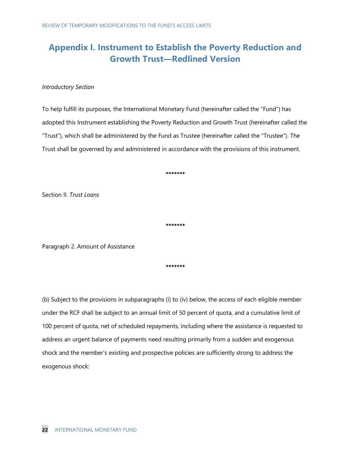## **Appendix I. Instrument to Establish the Poverty Reduction and Growth Trust—Redlined Version**

#### *Introductory Section*

To help fulfill its purposes, the International Monetary Fund (hereinafter called the "Fund") has adopted this Instrument establishing the Poverty Reduction and Growth Trust (hereinafter called the "Trust"), which shall be administered by the Fund as Trustee (hereinafter called the "Trustee"). The Trust shall be governed by and administered in accordance with the provisions of this instrument.

**\*\*\*\*\*\*\***

Section II. *Trust Loans*

**\*\*\*\*\*\*\***

Paragraph 2. Amount of Assistance

**\*\*\*\*\*\*\***

(b) Subject to the provisions in subparagraphs (i) to (iv) below, the access of each eligible member under the RCF shall be subject to an annual limit of 50 percent of quota, and a cumulative limit of 100 percent of quota, net of scheduled repayments, including where the assistance is requested to address an urgent balance of payments need resulting primarily from a sudden and exogenous shock and the member's existing and prospective policies are sufficiently strong to address the exogenous shock: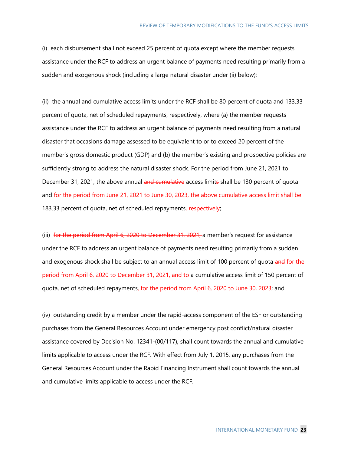(i) each disbursement shall not exceed 25 percent of quota except where the member requests assistance under the RCF to address an urgent balance of payments need resulting primarily from a sudden and exogenous shock (including a large natural disaster under (ii) below);

(ii) the annual and cumulative access limits under the RCF shall be 80 percent of quota and 133.33 percent of quota, net of scheduled repayments, respectively, where (a) the member requests assistance under the RCF to address an urgent balance of payments need resulting from a natural disaster that occasions damage assessed to be equivalent to or to exceed 20 percent of the member's gross domestic product (GDP) and (b) the member's existing and prospective policies are sufficiently strong to address the natural disaster shock. For the period from June 21, 2021 to December 31, 2021, the above annual and cumulative access limits shall be 130 percent of quota and for the period from June 21, 2021 to June 30, 2023, the above cumulative access limit shall be 183.33 percent of quota, net of scheduled repayments, respectively;

(iii) for the period from April 6, 2020 to December 31, 2021, a member's request for assistance under the RCF to address an urgent balance of payments need resulting primarily from a sudden and exogenous shock shall be subject to an annual access limit of 100 percent of quota and for the period from April 6, 2020 to December 31, 2021, and to a cumulative access limit of 150 percent of quota, net of scheduled repayments, for the period from April 6, 2020 to June 30, 2023; and

(iv) outstanding credit by a member under the rapid-access component of the ESF or outstanding purchases from the General Resources Account under emergency post conflict/natural disaster assistance covered by Decision No. 12341-(00/117), shall count towards the annual and cumulative limits applicable to access under the RCF. With effect from July 1, 2015, any purchases from the General Resources Account under the Rapid Financing Instrument shall count towards the annual and cumulative limits applicable to access under the RCF.